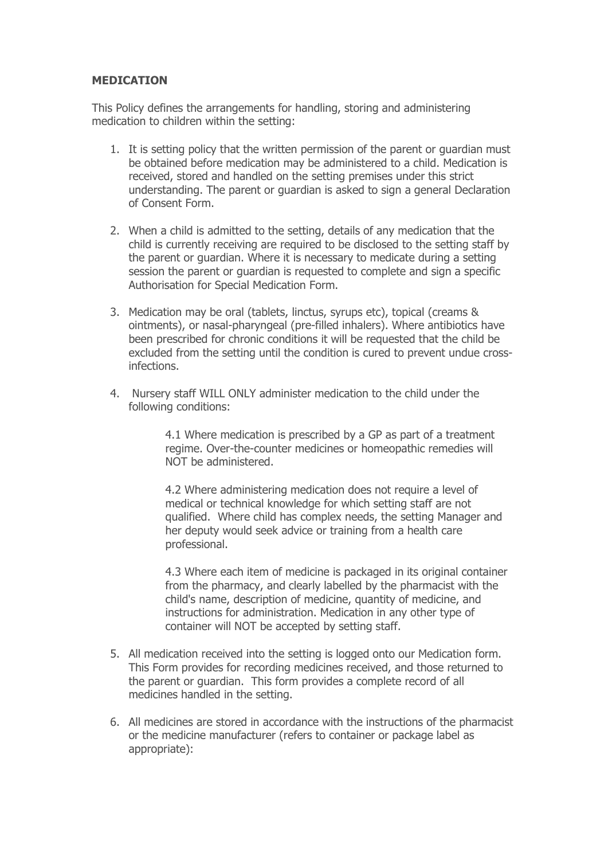## **MEDICATION**

This Policy defines the arrangements for handling, storing and administering medication to children within the setting:

- 1. It is setting policy that the written permission of the parent or guardian must be obtained before medication may be administered to a child. Medication is received, stored and handled on the setting premises under this strict understanding. The parent or guardian is asked to sign a general Declaration of Consent Form.
- 2. When a child is admitted to the setting, details of any medication that the child is currently receiving are required to be disclosed to the setting staff by the parent or guardian. Where it is necessary to medicate during a setting session the parent or guardian is requested to complete and sign a specific Authorisation for Special Medication Form.
- 3. Medication may be oral (tablets, linctus, syrups etc), topical (creams & ointments), or nasal-pharyngeal (pre-filled inhalers). Where antibiotics have been prescribed for chronic conditions it will be requested that the child be excluded from the setting until the condition is cured to prevent undue crossinfections.
- 4. Nursery staff WILL ONLY administer medication to the child under the following conditions:

4.1 Where medication is prescribed by a GP as part of a treatment regime. Over-the-counter medicines or homeopathic remedies will NOT be administered.

4.2 Where administering medication does not require a level of medical or technical knowledge for which setting staff are not qualified. Where child has complex needs, the setting Manager and her deputy would seek advice or training from a health care professional.

4.3 Where each item of medicine is packaged in its original container from the pharmacy, and clearly labelled by the pharmacist with the child's name, description of medicine, quantity of medicine, and instructions for administration. Medication in any other type of container will NOT be accepted by setting staff.

- 5. All medication received into the setting is logged onto our Medication form. This Form provides for recording medicines received, and those returned to the parent or guardian. This form provides a complete record of all medicines handled in the setting.
- 6. All medicines are stored in accordance with the instructions of the pharmacist or the medicine manufacturer (refers to container or package label as appropriate):